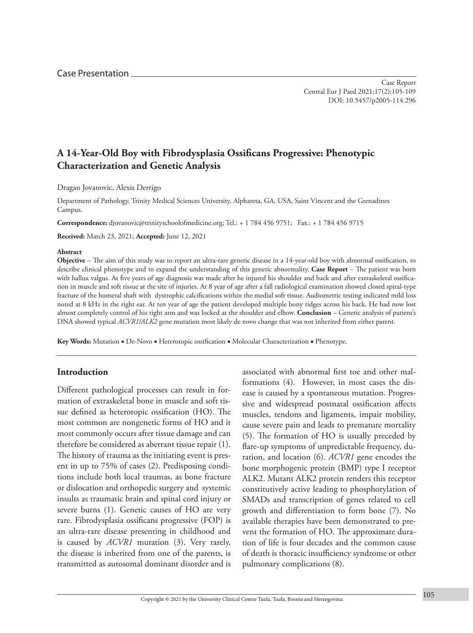# **A 14-Year-Old Boy with Fibrodysplasia Ossificans Progressive: Phenotypic Characterization and Genetic Analysis**

Dragan Jovanovic, Alexis Derrigo

Department of Pathology, Trinity Medical Sciences University, Alphareta, GA, USA, Saint Vincent and the Grenadines Campus.

**Correspondence:** [djovanovic@trinityschoolofmedicine.org;](mailto:djovanovic@trinityschoolofmedicine.org) Tel.: + 1 784 456 9751; Fax.: + 1 784 456 9715

**Received:** March 23, 2021; **Accepted:** June 12, 2021

#### **Abstract**

**Objective** – The aim of this study was to report an ultra-rare genetic disease in a 14-year-old boy with abnormal ossification, to describe clinical phenotype and to expand the understanding of this genetic abnormality. **Case Report** − The patient was born with hallux valgus. At five years of age diagnosis was made after he injured his shoulder and back and after extraskeletal ossification in muscle and soft tissue at the site of injuries. At 8 year of age after a fall radiological examination showed closed spiral-type fracture of the humeral shaft with dystrophic calcifications within the medial soft tissue. Audiometric testing indicated mild loss noted at 8 kHz in the right ear. At ten year of age the patient developed multiple bony ridges across his back. He had now lost almost completely control of his right arm and was locked at the shoulder and elbow. **Conclusion** – Genetic analysis of patient's DNA showed typical *ACVR1/ALK2* gene mutation most likely de novo change that was not inherited from either parent.

**Key Words:** Mutation ■ De-Novo ■ Heterotopic ossification ■ Molecular Characterization ■ Phenotype.

### **Introduction**

Different pathological processes can result in formation of extraskeletal bone in muscle and soft tissue defined as heterotopic ossification (HO). The most common are nongenetic forms of HO and it most commonly occurs after tissue damage and can therefore be considered as aberrant tissue repair (1). The history of trauma as the initiating event is present in up to 75% of cases (2). Predisposing conditions include both local traumas, as bone fracture or dislocation and orthopedic surgery and systemic insults as traumatic brain and spinal cord injury or severe burns (1). Genetic causes of HO are very rare. Fibrodysplasia ossificans progressive (FOP) is an ultra-rare disease presenting in childhood and is caused by *ACVR1* mutation (3). Very rarely, the disease is inherited from one of the parents, is transmitted as autosomal dominant disorder and is associated with abnormal first toe and other malformations (4). However, in most cases the disease is caused by a spontaneous mutation. Progressive and widespread postnatal ossification affects muscles, tendons and ligaments, impair mobility, cause severe pain and leads to premature mortality (5). The formation of HO is usually preceded by flare-up symptoms of unpredictable frequency, duration, and location (6). *ACVR1* gene encodes the bone morphogenic protein (BMP) type I receptor ALK2. Mutant ALK2 protein renders this receptor constitutively active leading to phosphorylation of SMADs and transcription of genes related to cell growth and differentiation to form bone (7). No available therapies have been demonstrated to prevent the formation of HO. The approximate duration of life is four decades and the common cause of death is thoracic insufficiency syndrome or other pulmonary complications (8).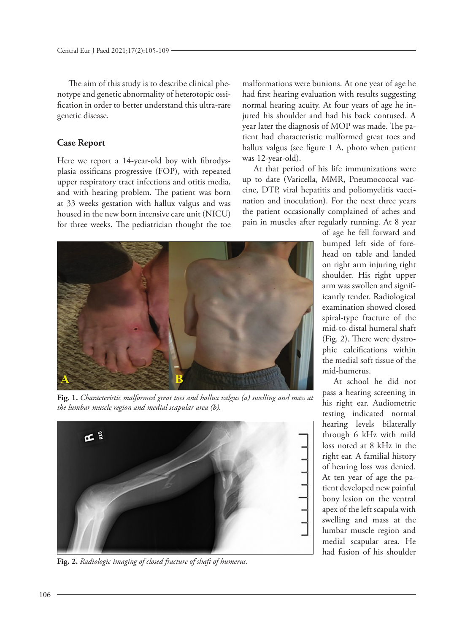The aim of this study is to describe clinical phenotype and genetic abnormality of heterotopic ossification in order to better understand this ultra-rare genetic disease.

### **Case Report**

Here we report a 14-year-old boy with fibrodysplasia ossificans progressive (FOP), with repeated upper respiratory tract infections and otitis media, and with hearing problem. The patient was born at 33 weeks gestation with hallux valgus and was housed in the new born intensive care unit (NICU) for three weeks. The pediatrician thought the toe



**Fig. 1.** *Characteristic malformed great toes and hallux valgus (a) swelling and mass at the lumbar muscle region and medial scapular area (b).*



**Fig. 2.** *Radiologic imaging of closed fracture of shaft of humerus.*

malformations were bunions. At one year of age he had first hearing evaluation with results suggesting normal hearing acuity. At four years of age he injured his shoulder and had his back contused. A year later the diagnosis of MOP was made. The patient had characteristic malformed great toes and hallux valgus (see figure 1 A, photo when patient was 12-year-old).

At that period of his life immunizations were up to date (Varicella, MMR, Pneumococcal vaccine, DTP, viral hepatitis and poliomyelitis vaccination and inoculation). For the next three years the patient occasionally complained of aches and pain in muscles after regularly running. At 8 year

> of age he fell forward and bumped left side of forehead on table and landed on right arm injuring right shoulder. His right upper arm was swollen and significantly tender. Radiological examination showed closed spiral-type fracture of the mid-to-distal humeral shaft (Fig. 2). There were dystrophic calcifications within the medial soft tissue of the mid-humerus.

> At school he did not pass a hearing screening in his right ear. Audiometric testing indicated normal hearing levels bilaterally through 6 kHz with mild loss noted at 8 kHz in the right ear. A familial history of hearing loss was denied. At ten year of age the patient developed new painful bony lesion on the ventral apex of the left scapula with swelling and mass at the lumbar muscle region and medial scapular area. He had fusion of his shoulder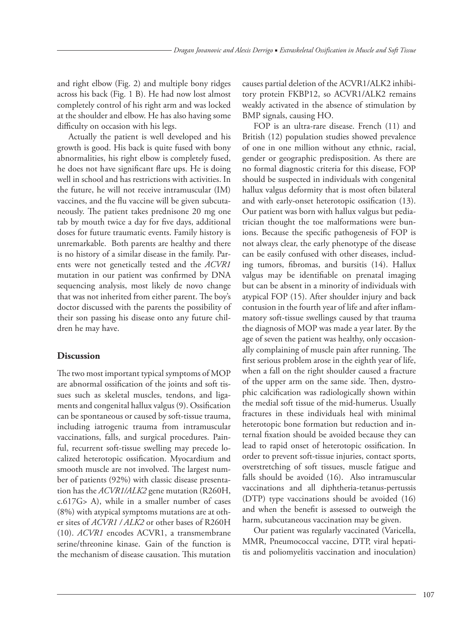and right elbow (Fig. 2) and multiple bony ridges across his back (Fig. 1 B). He had now lost almost completely control of his right arm and was locked at the shoulder and elbow. He has also having some difficulty on occasion with his legs.

Actually the patient is well developed and his growth is good. His back is quite fused with bony abnormalities, his right elbow is completely fused, he does not have significant flare ups. He is doing well in school and has restrictions with activities. In the future, he will not receive intramuscular (IM) vaccines, and the flu vaccine will be given subcutaneously. The patient takes prednisone 20 mg one tab by mouth twice a day for five days, additional doses for future traumatic events. Family history is unremarkable. Both parents are healthy and there is no history of a similar disease in the family. Parents were not genetically tested and the *ACVR1* mutation in our patient was confirmed by DNA sequencing analysis, most likely de novo change that was not inherited from either parent. The boy's doctor discussed with the parents the possibility of their son passing his disease onto any future children he may have.

## **Discussion**

The two most important typical symptoms of MOP are abnormal ossification of the joints and soft tissues such as skeletal muscles, tendons, and ligaments and congenital hallux valgus (9). Ossification can be spontaneous or caused by soft-tissue trauma, including iatrogenic trauma from intramuscular vaccinations, falls, and surgical procedures. Painful, recurrent soft-tissue swelling may precede localized heterotopic ossification. Myocardium and smooth muscle are not involved. The largest number of patients (92%) with classic disease presentation has the *ACVR1/ALK2* gene mutation (R260H, c.617G> A), while in a smaller number of cases (8%) with atypical symptoms mutations are at other sites of *ACVR1 / ALK2* or other bases of R260H (10). *ACVR1* encodes ACVR1, a transmembrane serine/threonine kinase. Gain of the function is the mechanism of disease causation. This mutation causes partial deletion of the ACVR1/ALK2 inhibitory protein FKBP12, so ACVR1/ALK2 remains weakly activated in the absence of stimulation by BMP signals, causing HO.

FOP is an ultra-rare disease. French (11) and British (12) population studies showed prevalence of one in one million without any ethnic, racial, gender or geographic predisposition. As there are no formal diagnostic criteria for this disease, FOP should be suspected in individuals with congenital hallux valgus deformity that is most often bilateral and with early-onset heterotopic ossification (13). Our patient was born with hallux valgus but pediatrician thought the toe malformations were bunions. Because the specific pathogenesis of FOP is not always clear, the early phenotype of the disease can be easily confused with other diseases, including tumors, fibromas, and bursitis (14). Hallux valgus may be identifiable on prenatal imaging but can be absent in a minority of individuals with atypical FOP (15). After shoulder injury and back contusion in the fourth year of life and after inflammatory soft-tissue swellings caused by that trauma the diagnosis of MOP was made a year later. By the age of seven the patient was healthy, only occasionally complaining of muscle pain after running. The first serious problem arose in the eighth year of life, when a fall on the right shoulder caused a fracture of the upper arm on the same side. Then, dystrophic calcification was radiologically shown within the medial soft tissue of the mid-humerus. Usually fractures in these individuals heal with minimal heterotopic bone formation but reduction and internal fixation should be avoided because they can lead to rapid onset of heterotopic ossification. In order to prevent soft-tissue injuries, contact sports, overstretching of soft tissues, muscle fatigue and falls should be avoided (16). Also intramuscular vaccinations and all diphtheria-tetanus-pertussis (DTP) type vaccinations should be avoided (16) and when the benefit is assessed to outweigh the harm, subcutaneous vaccination may be given.

Our patient was regularly vaccinated (Varicella, MMR, Pneumococcal vaccine, DTP, viral hepatitis and poliomyelitis vaccination and inoculation)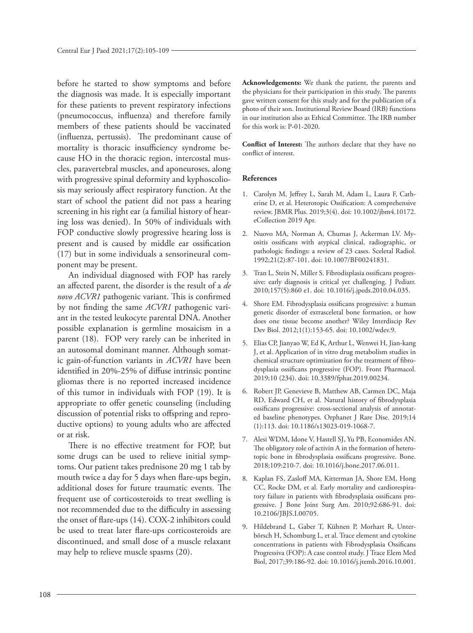before he started to show symptoms and before the diagnosis was made. It is especially important for these patients to prevent respiratory infections (pneumococcus, influenza) and therefore family members of these patients should be vaccinated (influenza, pertussis). The predominant cause of mortality is thoracic insufficiency syndrome because HO in the thoracic region, intercostal muscles, paravertebral muscles, and aponeuroses, along with progressive spinal deformity and kyphoscoliosis may seriously affect respiratory function. At the start of school the patient did not pass a hearing screening in his right ear (a familial history of hearing loss was denied). In 50% of individuals with FOP conductive slowly progressive hearing loss is present and is caused by middle ear ossification (17) but in some individuals a sensorineural component may be present.

An individual diagnosed with FOP has rarely an [affected](https://www.ncbi.nlm.nih.gov/books/n/gene/glossary/def-item/affected/) parent, the disorder is the result of a *de novo ACVR1* [pathogenic variant.](https://www.ncbi.nlm.nih.gov/books/n/gene/glossary/def-item/pathogenic-variant/) This is confirmed by not finding the same *ACVR1* pathogenic variant in the tested leukocyte parental DNA. Another possible explanation is [germline mosaicism](https://www.ncbi.nlm.nih.gov/books/n/gene/glossary/def-item/germline-mosaicism/) in a parent (18). FOP very rarely can be inherited in an [autosomal dominant](https://www.ncbi.nlm.nih.gov/books/n/gene/glossary/def-item/autosomal-dominant/) manner. Although somatic [gain-of-function](https://www.ncbi.nlm.nih.gov/books/n/gene/glossary/def-item/gain-of-function/) variants in *ACVR1* have been identified in 20%-25% of diffuse intrinsic pontine gliomas there is no reported increased incidence of this tumor in individuals with FOP (19). It is appropriate to offer [genetic counseling](https://www.ncbi.nlm.nih.gov/books/n/gene/glossary/def-item/genetic-counseling/) (including discussion of potential risks to offspring and reproductive options) to young adults who are [affected](https://www.ncbi.nlm.nih.gov/books/n/gene/glossary/def-item/affected/) or at risk.

There is no effective treatment for FOP, but some drugs can be used to relieve initial symptoms. Our patient takes prednisone 20 mg 1 tab by mouth twice a day for 5 days when flare-ups begin, additional doses for future traumatic events. The frequent use of corticosteroids to treat swelling is not recommended due to the difficulty in assessing the onset of flare-ups (14). COX-2 inhibitors could be used to treat later flare-ups corticosteroids are discontinued, and small dose of a muscle relaxant may help to relieve muscle spasms (20).

**Acknowledgements:** We thank the patient, the parents and the physicians for their participation in this study. The parents gave written consent for this study and for the publication of a photo of their son. Institutional Review Board (IRB) functions in our institution also as Ethical Committee. The IRB number for this work is: P-01-2020.

**Conflict of Interest:** The authors declare that they have no conflict of interest.

#### **References**

- 1. Carolyn M, Jeffrey L, Sarah M, Adam L, Laura F, Catherine D, et al. Heterotopic Ossification: A comprehensive review. JBMR Plus. 2019;3(4). doi: 10.1002/jbm4.10172. eCollection 2019 Apr.
- 2. Nuovo MA, Norman A, Chumas J, Ackerman LV. Myositis ossificans with atypical clinical, radiographic, or pathologic findings: a review of 23 cases. Sceletal Radiol. 1992;21(2):87-101. doi: 10.1007/BF00241831.
- 3. Tran L, Stein N, Miller S. Fibrodisplasia ossificans progressive: early diagnosis is critical yet challenging. J Pediatr. 2010;157(5):860 e1. doi: [10.1016/j.jpeds.2010.04.035.](https://doi.org/10.1016/j.jpeds.2010.04.035)
- 4. Shore EM. Fibrodysplasia ossificans progressive: a human genetic disorder of extrasceletal bone formation, or how does one tissue become another? Wiley Interdiscip Rev Dev Biol. 2012;1(1):153-65. doi: 10.1002/wdev.9.
- 5. Elias CP, Jianyao W, Ed K, Arthur L, Wenwei H, Jian-kang J, et al. Application of in vitro drug metabolism studies in chemical structure optimization for the treatment of fibrodysplasia ossificans progressive (FOP). Front Pharmacol. 2019;10 (234). doi: [10.3389/fphar.2019.00234.](https://doi.org/10.3389/fphar.2019.00234)
- 6. Robert JP, Genevieve B, Matthew AB, Carmen DC, Maja RD, Edward CH, et al. Natural history of fibrodysplasia ossificans progressive: cross-sectional analysis of annotated baseline phenotypes. Orphanet J Rare Dise. 2019;14 (1):113. doi: [10.1186/s13023-019-1068-7.](https://doi.org/10.1186/s13023-019-1068-7)
- 7. Alesi WDM, Idone V, Hastell SJ, Yu PB, Economides AN. The obligatory role of activin A in the formation of heterotopic bone in fibrodysplasia ossificans progressive. Bone. 2018;109:210-7. doi: [10.1016/j.bone.2017.06.011.](https://doi.org/10.1016/j.bone.2017.06.011)
- 8. Kaplan FS, Zasloff MA, Kitterman JA, Shore EM, Hong CC, Rocke DM, et al. Early mortality and cardiorespiratory failure in patients with fibrodysplasia ossificans progressive. J Bone Joint Surg Am. 2010;92:686-91. doi: [10.2106/JBJS.I.00705.](https://doi.org/10.2106/jbjs.i.00705)
- 9. Hildebrand L, Gaber T, Kühnen P, Morhart R, Unterbörsch H, Schomburg L, et al. Trace element and cytokine concentrations in patients with Fibrodysplasia Ossificans Progressiva (FOP): A case control study. J Trace Elem Med Biol, 2017;39:186-92. doi: [10.1016/j.jtemb.2016.10.001.](https://doi.org/10.1016/j.jtemb.2016.10.001)